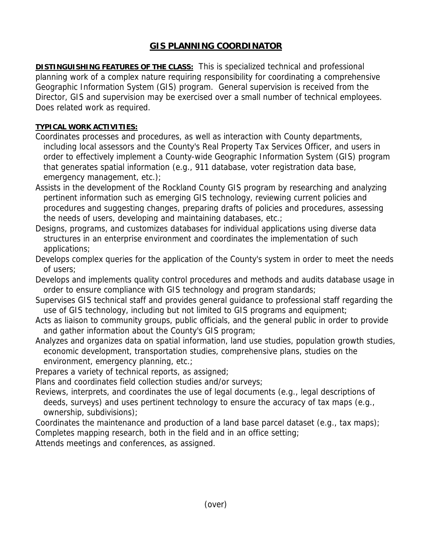## **GIS PLANNING COORDINATOR**

**DISTINGUISHING FEATURES OF THE CLASS:** This is specialized technical and professional planning work of a complex nature requiring responsibility for coordinating a comprehensive Geographic Information System (GIS) program. General supervision is received from the Director, GIS and supervision may be exercised over a small number of technical employees. Does related work as required.

## **TYPICAL WORK ACTIVITIES:**

- Coordinates processes and procedures, as well as interaction with County departments, including local assessors and the County's Real Property Tax Services Officer, and users in order to effectively implement a County-wide Geographic Information System (GIS) program that generates spatial information (e.g., 911 database, voter registration data base, emergency management, etc.);
- Assists in the development of the Rockland County GIS program by researching and analyzing pertinent information such as emerging GIS technology, reviewing current policies and procedures and suggesting changes, preparing drafts of policies and procedures, assessing the needs of users, developing and maintaining databases, etc.;
- Designs, programs, and customizes databases for individual applications using diverse data structures in an enterprise environment and coordinates the implementation of such applications;
- Develops complex queries for the application of the County's system in order to meet the needs of users;
- Develops and implements quality control procedures and methods and audits database usage in order to ensure compliance with GIS technology and program standards;
- Supervises GIS technical staff and provides general guidance to professional staff regarding the use of GIS technology, including but not limited to GIS programs and equipment;
- Acts as liaison to community groups, public officials, and the general public in order to provide and gather information about the County's GIS program;
- Analyzes and organizes data on spatial information, land use studies, population growth studies, economic development, transportation studies, comprehensive plans, studies on the environment, emergency planning, etc.;
- Prepares a variety of technical reports, as assigned;
- Plans and coordinates field collection studies and/or surveys;
- Reviews, interprets, and coordinates the use of legal documents (e.g., legal descriptions of deeds, surveys) and uses pertinent technology to ensure the accuracy of tax maps (e.g., ownership, subdivisions);
- Coordinates the maintenance and production of a land base parcel dataset (e.g., tax maps); Completes mapping research, both in the field and in an office setting;

Attends meetings and conferences, as assigned.